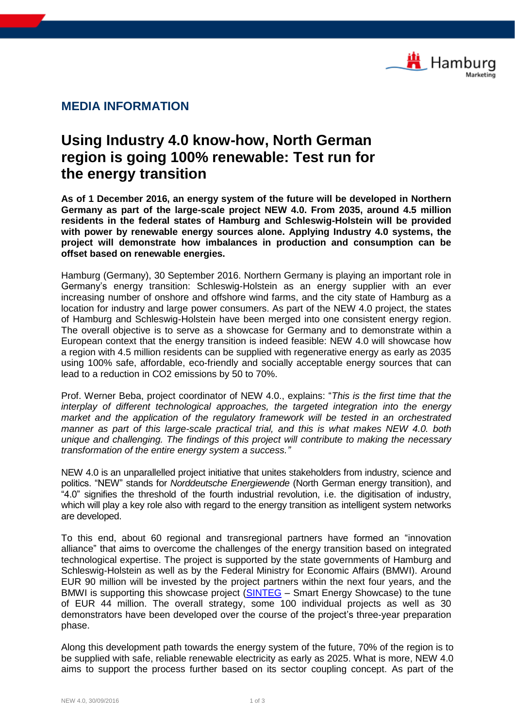

## **MEDIA INFORMATION**

## **Using Industry 4.0 know-how, North German region is going 100% renewable: Test run for the energy transition**

**As of 1 December 2016, an energy system of the future will be developed in Northern Germany as part of the large-scale project NEW 4.0. From 2035, around 4.5 million residents in the federal states of Hamburg and Schleswig-Holstein will be provided with power by renewable energy sources alone. Applying Industry 4.0 systems, the project will demonstrate how imbalances in production and consumption can be offset based on renewable energies.**

Hamburg (Germany), 30 September 2016. Northern Germany is playing an important role in Germany's energy transition: Schleswig-Holstein as an energy supplier with an ever increasing number of onshore and offshore wind farms, and the city state of Hamburg as a location for industry and large power consumers. As part of the NEW 4.0 project, the states of Hamburg and Schleswig-Holstein have been merged into one consistent energy region. The overall objective is to serve as a showcase for Germany and to demonstrate within a European context that the energy transition is indeed feasible: NEW 4.0 will showcase how a region with 4.5 million residents can be supplied with regenerative energy as early as 2035 using 100% safe, affordable, eco-friendly and socially acceptable energy sources that can lead to a reduction in CO2 emissions by 50 to 70%.

Prof. Werner Beba, project coordinator of NEW 4.0., explains: "*This is the first time that the interplay of different technological approaches, the targeted integration into the energy market and the application of the regulatory framework will be tested in an orchestrated manner as part of this large-scale practical trial, and this is what makes NEW 4.0. both unique and challenging. The findings of this project will contribute to making the necessary transformation of the entire energy system a success."*

NEW 4.0 is an unparallelled project initiative that unites stakeholders from industry, science and politics. "NEW" stands for *Norddeutsche Energiewende* (North German energy transition), and "4.0" signifies the threshold of the fourth industrial revolution, i.e. the digitisation of industry, which will play a key role also with regard to the energy transition as intelligent system networks are developed.

To this end, about 60 regional and transregional partners have formed an "innovation alliance" that aims to overcome the challenges of the energy transition based on integrated technological expertise. The project is supported by the state governments of Hamburg and Schleswig-Holstein as well as by the Federal Ministry for Economic Affairs (BMWI). Around EUR 90 million will be invested by the project partners within the next four years, and the BMWI is supporting this showcase project [\(SINTEG](http://www.bmwi.de/EN/Topics/Energy/Grids-and-grid-expansion/sinteg,did=718778.html) - Smart Energy Showcase) to the tune of EUR 44 million. The overall strategy, some 100 individual projects as well as 30 demonstrators have been developed over the course of the project's three-year preparation phase.

Along this development path towards the energy system of the future, 70% of the region is to be supplied with safe, reliable renewable electricity as early as 2025. What is more, NEW 4.0 aims to support the process further based on its sector coupling concept. As part of the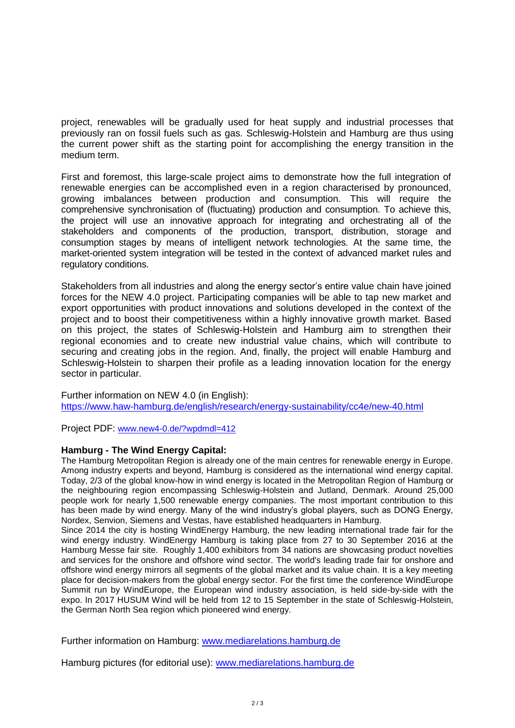project, renewables will be gradually used for heat supply and industrial processes that previously ran on fossil fuels such as gas. Schleswig-Holstein and Hamburg are thus using the current power shift as the starting point for accomplishing the energy transition in the medium term.

First and foremost, this large-scale project aims to demonstrate how the full integration of renewable energies can be accomplished even in a region characterised by pronounced, growing imbalances between production and consumption. This will require the comprehensive synchronisation of (fluctuating) production and consumption. To achieve this, the project will use an innovative approach for integrating and orchestrating all of the stakeholders and components of the production, transport, distribution, storage and consumption stages by means of intelligent network technologies. At the same time, the market-oriented system integration will be tested in the context of advanced market rules and regulatory conditions.

Stakeholders from all industries and along the energy sector's entire value chain have joined forces for the NEW 4.0 project. Participating companies will be able to tap new market and export opportunities with product innovations and solutions developed in the context of the project and to boost their competitiveness within a highly innovative growth market. Based on this project, the states of Schleswig-Holstein and Hamburg aim to strengthen their regional economies and to create new industrial value chains, which will contribute to securing and creating jobs in the region. And, finally, the project will enable Hamburg and Schleswig-Holstein to sharpen their profile as a leading innovation location for the energy sector in particular.

Further information on NEW 4.0 (in English): <https://www.haw-hamburg.de/english/research/energy-sustainability/cc4e/new-40.html>

Project PDF: [www.new4-0.de/?wpdmdl=412](http://www.new4-0.de/?wpdmdl=412)

## **Hamburg - The Wind Energy Capital:**

The Hamburg Metropolitan Region is already one of the main centres for renewable energy in Europe. Among industry experts and beyond, Hamburg is considered as the international wind energy capital. Today, 2/3 of the global know-how in wind energy is located in the Metropolitan Region of Hamburg or the neighbouring region encompassing Schleswig-Holstein and Jutland, Denmark. Around 25,000 people work for nearly 1,500 renewable energy companies. The most important contribution to this has been made by wind energy. Many of the wind industry's global players, such as DONG Energy, Nordex, Senvion, Siemens and Vestas, have established headquarters in Hamburg.

Since 2014 the city is hosting WindEnergy Hamburg, the new leading international trade fair for the wind energy industry. WindEnergy Hamburg is taking place from 27 to 30 September 2016 at the Hamburg Messe fair site. Roughly 1,400 exhibitors from 34 nations are showcasing product novelties and services for the onshore and offshore wind sector. The world's leading trade fair for onshore and offshore wind energy mirrors all segments of the global market and its value chain. It is a key meeting place for decision-makers from the global energy sector. For the first time the conference WindEurope Summit run by WindEurope, the European wind industry association, is held side-by-side with the expo. In 2017 HUSUM Wind will be held from 12 to 15 September in the state of Schleswig-Holstein, the German North Sea region which pioneered wind energy.

Further information on Hamburg: [www.mediarelations.hamburg.de](http://www.mediarelations.hamburg.de/)

Hamburg pictures (for editorial use): [www.mediarelations.hamburg.de](http://www.mediarelations.hamburg.de/)